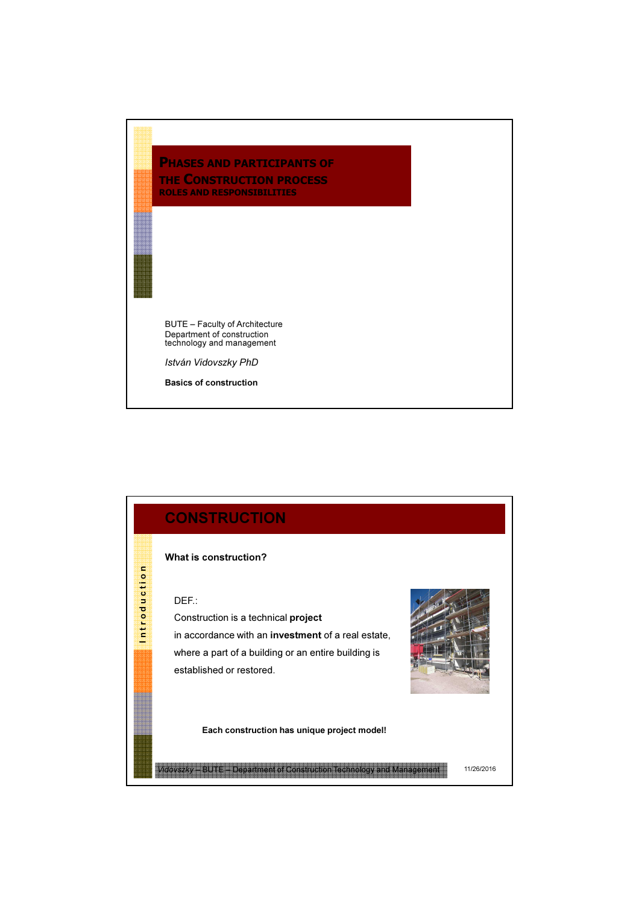## PHASES AND PARTICIPANTS OF THE CONSTRUCTION PROCESS ROLES AND RESPONSIBILITIES

BUTE – Faculty of Architecture Department of construction technology and management

István Vidovszky PhD

Basics of construction

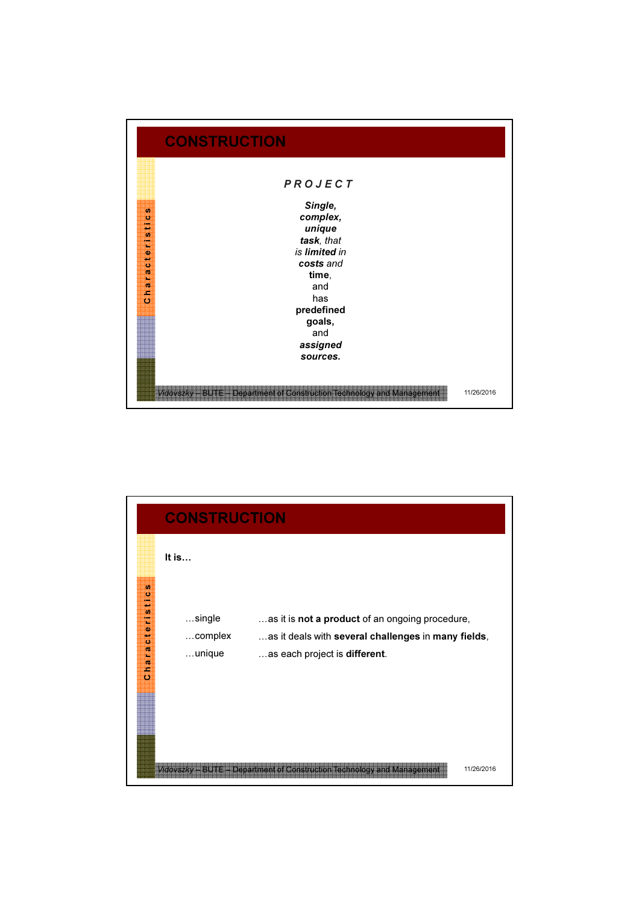

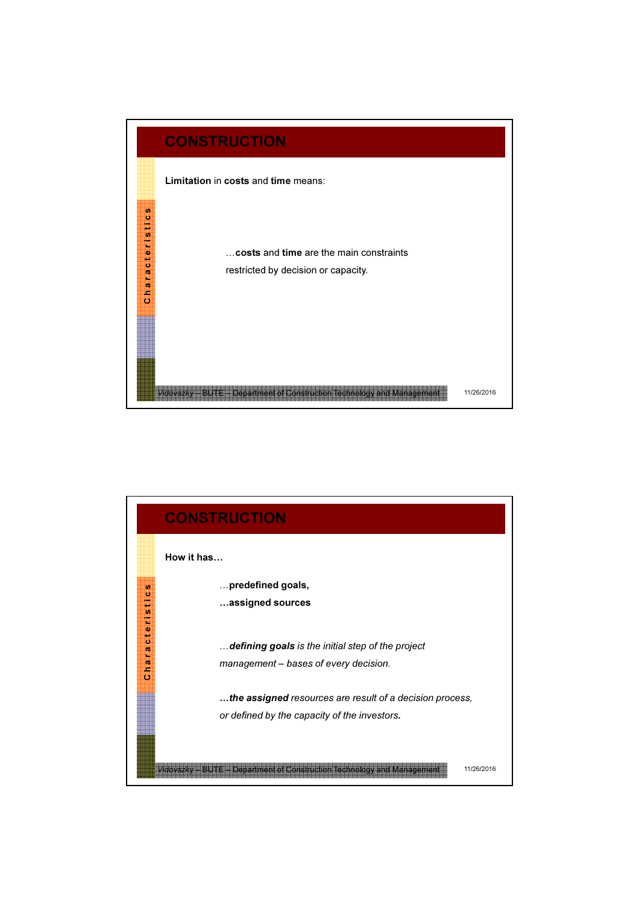

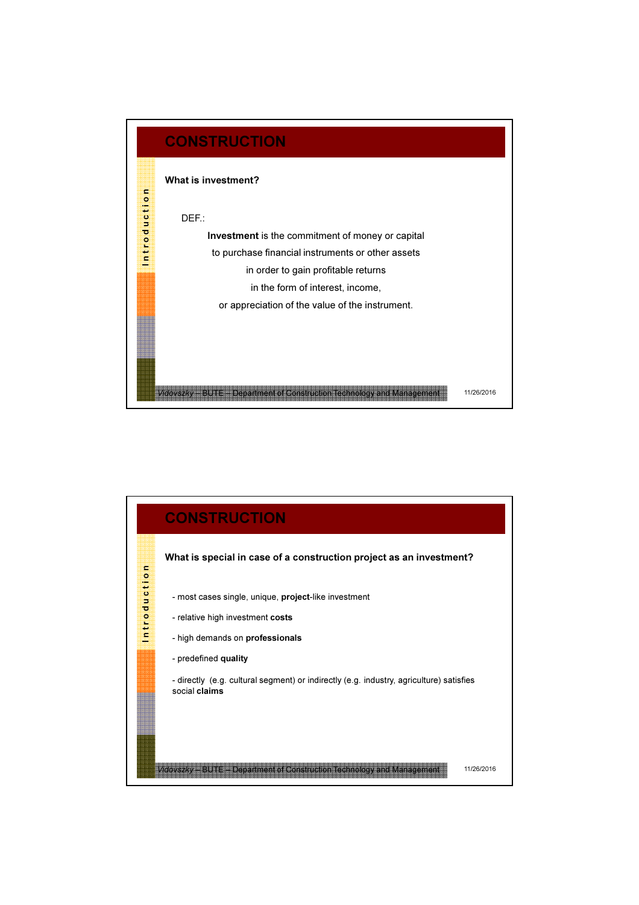

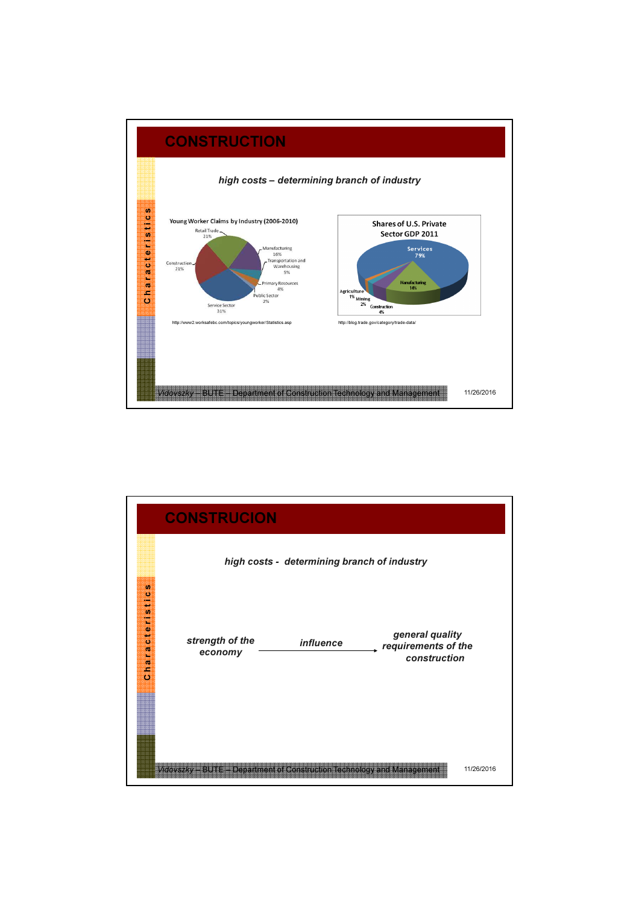

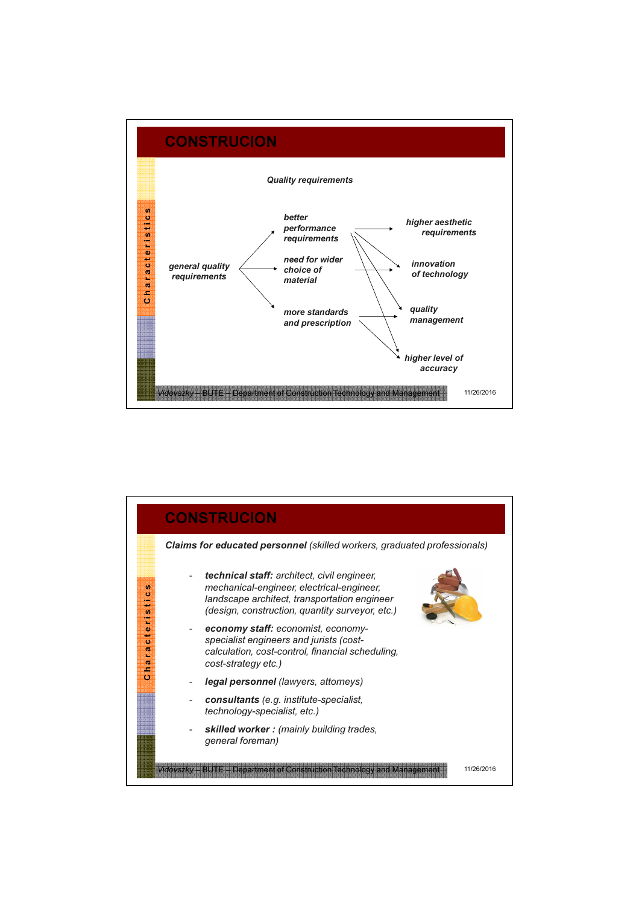

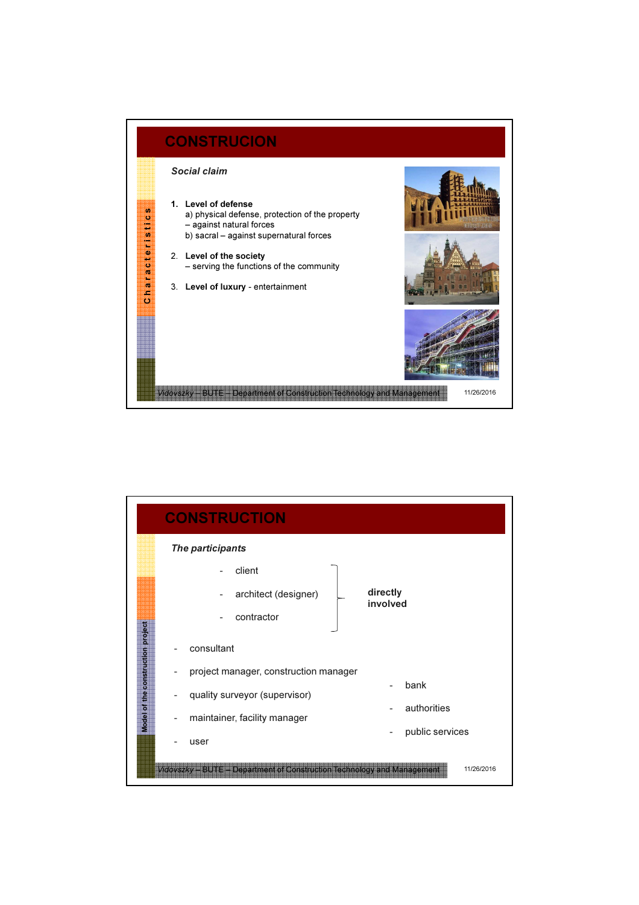

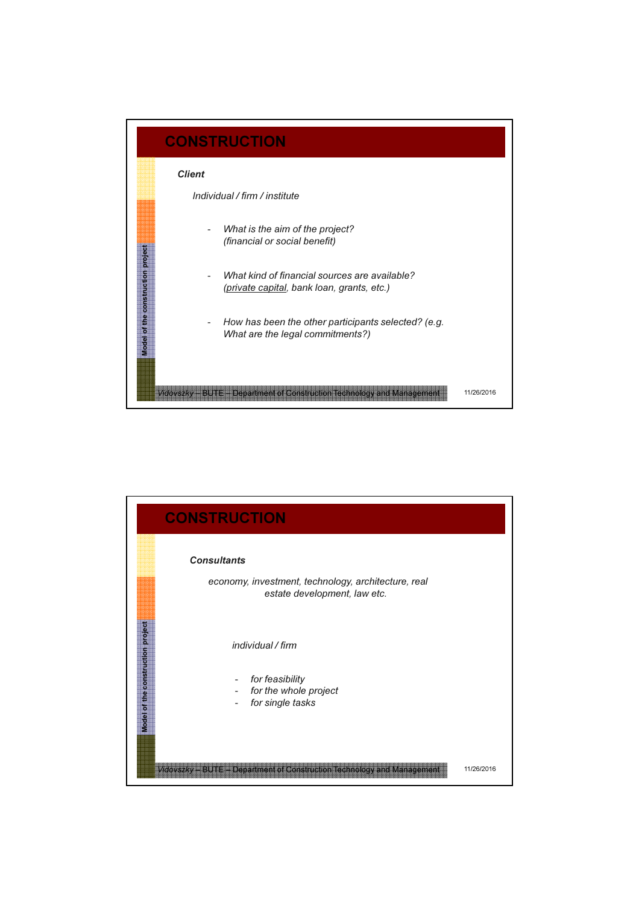

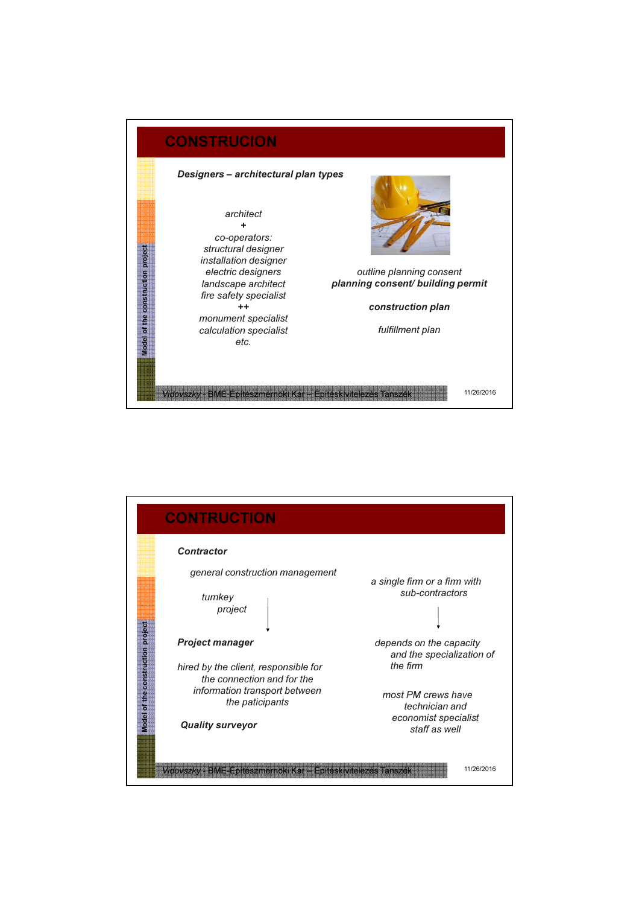

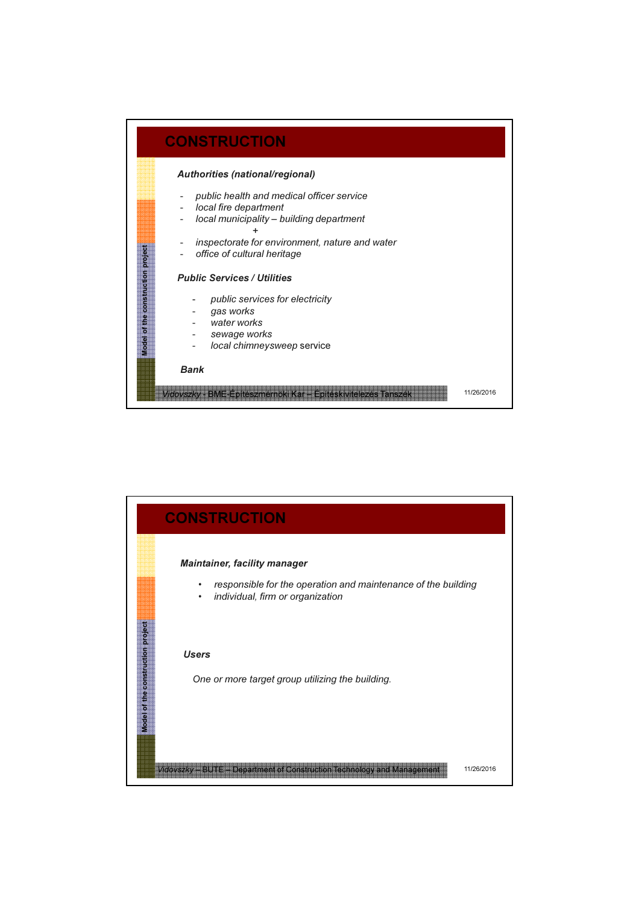

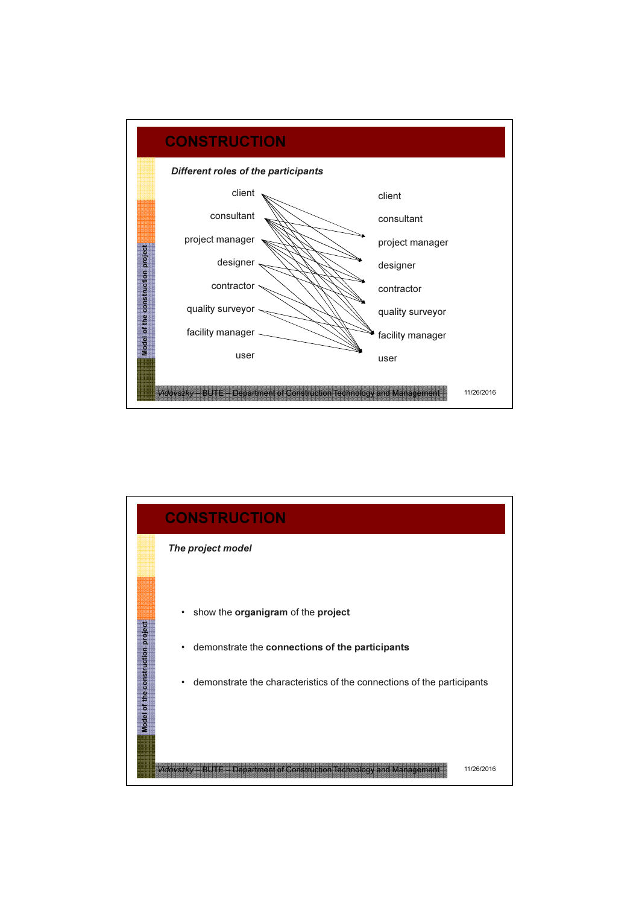

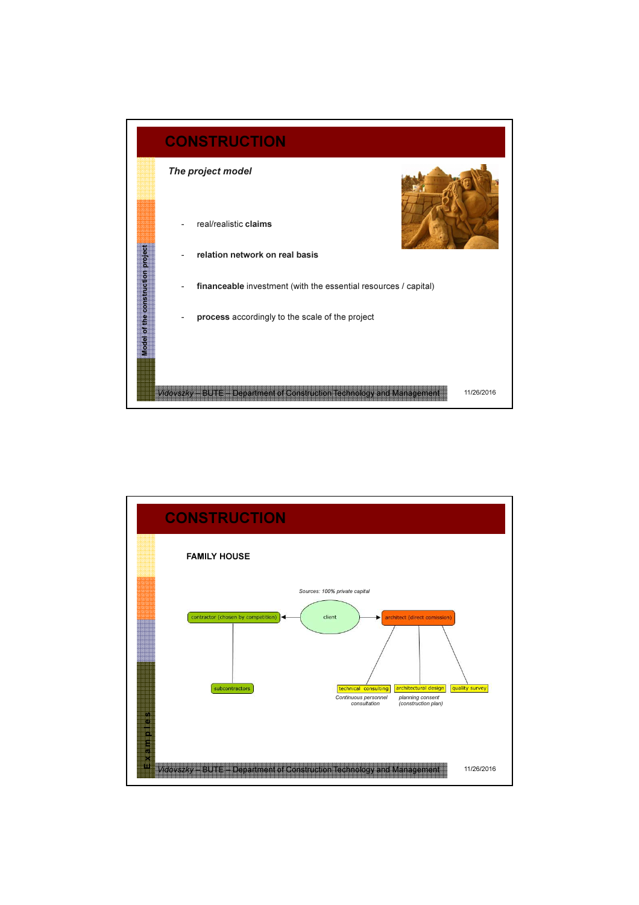